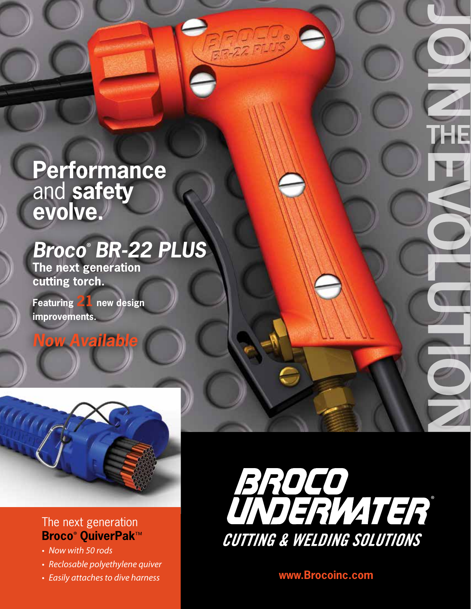# **Performance**  and **safety evolve.**

## *Broco*® *BR-22 PLUS*

**CHANGERS** INT

FOTO

**The next generation cutting torch.**

**Featuring 21 new design improvements.** 

### **Now Availab**



#### The next generation **Broco**® **QuiverPak**™

- *• Now with 50 rods*
- *• Reclosable polyethylene quiver*
- 



*• Easily attaches to dive harness* **www.Brocoinc.com**